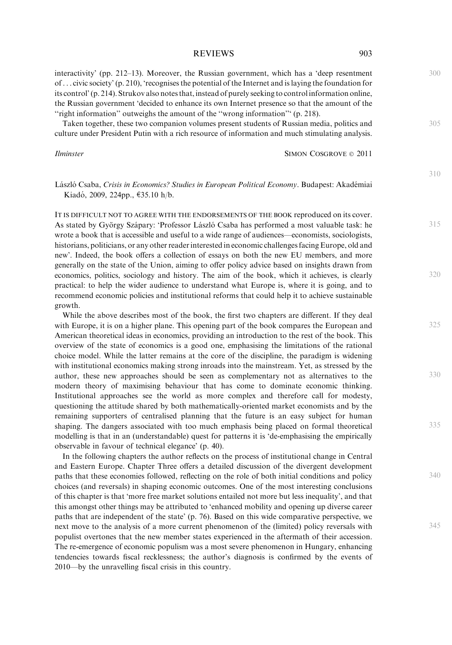## REVIEWS 903

interactivity' (pp. 212–13). Moreover, the Russian government, which has a 'deep resentment 300 of. . . civic society' (p. 210), 'recognisesthe potential of the Internet and islaying the foundation for its control'(p. 214). Strukov also notesthat, instead of purely seeking to control information online, the Russian government 'decided to enhance its own Internet presence so that the amount of the ''right information'' outweighs the amount of the ''wrong information''' (p. 218).

Taken together, these two companion volumes present students of Russian media, politics and 305 culture under President Putin with a rich resource of information and much stimulating analysis.

Ilminster SIMON COSGROVE Ó 2011

## László Csaba, Crisis in Economics? Studies in European Political Economy. Budapest: Akadémiai Kiadó, 2009, 224pp., €35.10 h/b.

IT IS DIFFICULT NOT TO AGREE WITH THE ENDORSEMENTS OF THE BOOK reproduced on its cover. As stated by György Szápary: 'Professor László Csaba has performed a most valuable task: he  $315$ wrote a book that is accessible and useful to a wide range of audiences—economists, sociologists, historians, politicians, or any other reader interested in economic challenges facing Europe, old and new'. Indeed, the book offers a collection of essays on both the new EU members, and more generally on the state of the Union, aiming to offer policy advice based on insights drawn from economics, politics, sociology and history. The aim of the book, which it achieves, is clearly 320 practical: to help the wider audience to understand what Europe is, where it is going, and to recommend economic policies and institutional reforms that could help it to achieve sustainable growth.

While the above describes most of the book, the first two chapters are different. If they deal with Europe, it is on a higher plane. This opening part of the book compares the European and  $325$ American theoretical ideas in economics, providing an introduction to the rest of the book. This overview of the state of economics is a good one, emphasising the limitations of the rational choice model. While the latter remains at the core of the discipline, the paradigm is widening with institutional economics making strong inroads into the mainstream. Yet, as stressed by the author, these new approaches should be seen as complementary not as alternatives to the 330 modern theory of maximising behaviour that has come to dominate economic thinking. Institutional approaches see the world as more complex and therefore call for modesty, questioning the attitude shared by both mathematically-oriented market economists and by the remaining supporters of centralised planning that the future is an easy subject for human shaping. The dangers associated with too much emphasis being placed on formal theoretical 335 modelling is that in an (understandable) quest for patterns it is 'de-emphasising the empirically observable in favour of technical elegance' (p. 40).

In the following chapters the author reflects on the process of institutional change in Central and Eastern Europe. Chapter Three offers a detailed discussion of the divergent development paths that these economies followed, reflecting on the role of both initial conditions and policy 340 choices (and reversals) in shaping economic outcomes. One of the most interesting conclusions of this chapter is that 'more free market solutions entailed not more but less inequality', and that this amongst other things may be attributed to 'enhanced mobility and opening up diverse career paths that are independent of the state' (p. 76). Based on this wide comparative perspective, we next move to the analysis of a more current phenomenon of the (limited) policy reversals with 345 populist overtones that the new member states experienced in the aftermath of their accession. The re-emergence of economic populism was a most severe phenomenon in Hungary, enhancing tendencies towards fiscal recklessness; the author's diagnosis is confirmed by the events of 2010—by the unravelling fiscal crisis in this country.

310